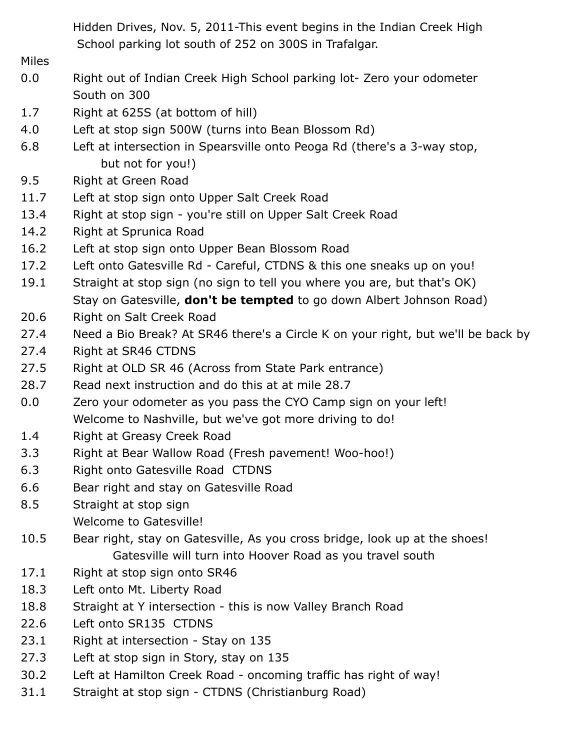Hidden Drives, Nov. 5, 2011-This event begins in the Indian Creek High School parking lot south of 252 on 300S in Trafalgar.

Miles

- 0.0 Right out of Indian Creek High School parking lot- Zero your odometer South on 300
- 1.7 Right at 625S (at bottom of hill)
- 4.0 Left at stop sign 500W (turns into Bean Blossom Rd)
- 6.8 Left at intersection in Spearsville onto Peoga Rd (there's a 3-way stop, but not for you!)
- 9.5 Right at Green Road
- 11.7 Left at stop sign onto Upper Salt Creek Road
- 13.4 Right at stop sign you're still on Upper Salt Creek Road
- 14.2 Right at Sprunica Road
- 16.2 Left at stop sign onto Upper Bean Blossom Road
- 17.2 Left onto Gatesville Rd Careful, CTDNS & this one sneaks up on you!
- 19.1 Straight at stop sign (no sign to tell you where you are, but that's OK) Stay on Gatesville, **don't be tempted** to go down Albert Johnson Road)
- 20.6 Right on Salt Creek Road
- 27.4 Need a Bio Break? At SR46 there's a Circle K on your right, but we'll be back by
- 27.4 Right at SR46 CTDNS
- 27.5 Right at OLD SR 46 (Across from State Park entrance)
- 28.7 Read next instruction and do this at at mile 28.7
- 0.0 Zero your odometer as you pass the CYO Camp sign on your left! Welcome to Nashville, but we've got more driving to do!
- 1.4 Right at Greasy Creek Road
- 3.3 Right at Bear Wallow Road (Fresh pavement! Woo-hoo!)
- 6.3 Right onto Gatesville Road CTDNS
- 6.6 Bear right and stay on Gatesville Road
- 8.5 Straight at stop sign Welcome to Gatesville!
- 10.5 Bear right, stay on Gatesville, As you cross bridge, look up at the shoes! Gatesville will turn into Hoover Road as you travel south
- 17.1 Right at stop sign onto SR46
- 18.3 Left onto Mt. Liberty Road
- 18.8 Straight at Y intersection this is now Valley Branch Road
- 22.6 Left onto SR135 CTDNS
- 23.1 Right at intersection Stay on 135
- 27.3 Left at stop sign in Story, stay on 135
- 30.2 Left at Hamilton Creek Road oncoming traffic has right of way!
- 31.1 Straight at stop sign CTDNS (Christianburg Road)